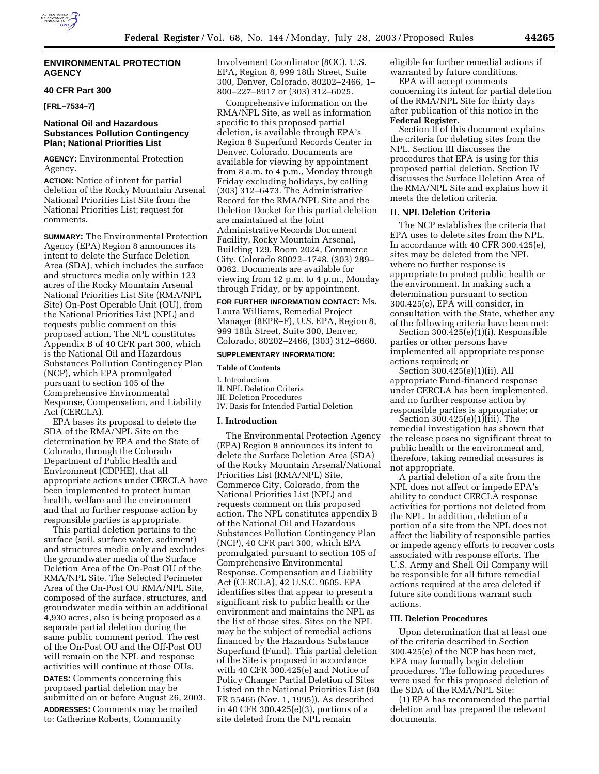

# **40 CFR Part 300**

**[FRL–7534–7]** 

# **National Oil and Hazardous Substances Pollution Contingency Plan; National Priorities List**

**AGENCY:** Environmental Protection Agency.

**ACTION:** Notice of intent for partial deletion of the Rocky Mountain Arsenal National Priorities List Site from the National Priorities List; request for comments.

**SUMMARY:** The Environmental Protection Agency (EPA) Region 8 announces its intent to delete the Surface Deletion Area (SDA), which includes the surface and structures media only within 123 acres of the Rocky Mountain Arsenal National Priorities List Site (RMA/NPL Site) On-Post Operable Unit (OU), from the National Priorities List (NPL) and requests public comment on this proposed action. The NPL constitutes Appendix B of 40 CFR part 300, which is the National Oil and Hazardous Substances Pollution Contingency Plan (NCP), which EPA promulgated pursuant to section 105 of the Comprehensive Environmental Response, Compensation, and Liability Act (CERCLA).

EPA bases its proposal to delete the SDA of the RMA/NPL Site on the determination by EPA and the State of Colorado, through the Colorado Department of Public Health and Environment (CDPHE), that all appropriate actions under CERCLA have been implemented to protect human health, welfare and the environment and that no further response action by responsible parties is appropriate.

This partial deletion pertains to the surface (soil, surface water, sediment) and structures media only and excludes the groundwater media of the Surface Deletion Area of the On-Post OU of the RMA/NPL Site. The Selected Perimeter Area of the On-Post OU RMA/NPL Site, composed of the surface, structures, and groundwater media within an additional 4,930 acres, also is being proposed as a separate partial deletion during the same public comment period. The rest of the On-Post OU and the Off-Post OU will remain on the NPL and response activities will continue at those OUs.

**DATES:** Comments concerning this proposed partial deletion may be submitted on or before August 26, 2003. **ADDRESSES:** Comments may be mailed

to: Catherine Roberts, Community

Involvement Coordinator (8OC), U.S. EPA, Region 8, 999 18th Street, Suite 300, Denver, Colorado, 80202–2466, 1– 800–227–8917 or (303) 312–6025.

Comprehensive information on the RMA/NPL Site, as well as information specific to this proposed partial deletion, is available through EPA's Region 8 Superfund Records Center in Denver, Colorado. Documents are available for viewing by appointment from 8 a.m. to 4 p.m., Monday through Friday excluding holidays, by calling (303) 312–6473. The Administrative Record for the RMA/NPL Site and the Deletion Docket for this partial deletion are maintained at the Joint Administrative Records Document Facility, Rocky Mountain Arsenal, Building 129, Room 2024, Commerce City, Colorado 80022–1748, (303) 289– 0362. Documents are available for viewing from 12 p.m. to 4 p.m., Monday through Friday, or by appointment.

**FOR FURTHER INFORMATION CONTACT:** Ms. Laura Williams, Remedial Project Manager (8EPR–F), U.S. EPA, Region 8, 999 18th Street, Suite 300, Denver, Colorado, 80202–2466, (303) 312–6660.

# **SUPPLEMENTARY INFORMATION:**

#### **Table of Contents**

I. Introduction

II. NPL Deletion Criteria

III. Deletion Procedures IV. Basis for Intended Partial Deletion

## **I. Introduction**

The Environmental Protection Agency (EPA) Region 8 announces its intent to delete the Surface Deletion Area (SDA) of the Rocky Mountain Arsenal/National Priorities List (RMA/NPL) Site, Commerce City, Colorado, from the National Priorities List (NPL) and requests comment on this proposed action. The NPL constitutes appendix B of the National Oil and Hazardous Substances Pollution Contingency Plan (NCP), 40 CFR part 300, which EPA promulgated pursuant to section 105 of Comprehensive Environmental Response, Compensation and Liability Act (CERCLA), 42 U.S.C. 9605. EPA identifies sites that appear to present a significant risk to public health or the environment and maintains the NPL as the list of those sites. Sites on the NPL may be the subject of remedial actions financed by the Hazardous Substance Superfund (Fund). This partial deletion of the Site is proposed in accordance with 40 CFR 300.425(e) and Notice of Policy Change: Partial Deletion of Sites Listed on the National Priorities List (60 FR 55466 (Nov. 1, 1995)). As described in 40 CFR 300.425(e)(3), portions of a site deleted from the NPL remain

eligible for further remedial actions if warranted by future conditions.

EPA will accept comments concerning its intent for partial deletion of the RMA/NPL Site for thirty days after publication of this notice in the **Federal Register**.

Section II of this document explains the criteria for deleting sites from the NPL. Section III discusses the procedures that EPA is using for this proposed partial deletion. Section IV discusses the Surface Deletion Area of the RMA/NPL Site and explains how it meets the deletion criteria.

## **II. NPL Deletion Criteria**

The NCP establishes the criteria that EPA uses to delete sites from the NPL. In accordance with 40 CFR 300.425(e), sites may be deleted from the NPL where no further response is appropriate to protect public health or the environment. In making such a determination pursuant to section 300.425(e), EPA will consider, in consultation with the State, whether any of the following criteria have been met:

Section 300.425(e)(1)(i). Responsible parties or other persons have implemented all appropriate response actions required; or

Section 300.425(e)(1)(ii). All appropriate Fund-financed response under CERCLA has been implemented, and no further response action by responsible parties is appropriate; or

Section 300.425(e)(1)(iii). The remedial investigation has shown that the release poses no significant threat to public health or the environment and, therefore, taking remedial measures is not appropriate.

A partial deletion of a site from the NPL does not affect or impede EPA's ability to conduct CERCLA response activities for portions not deleted from the NPL. In addition, deletion of a portion of a site from the NPL does not affect the liability of responsible parties or impede agency efforts to recover costs associated with response efforts. The U.S. Army and Shell Oil Company will be responsible for all future remedial actions required at the area deleted if future site conditions warrant such actions.

### **III. Deletion Procedures**

Upon determination that at least one of the criteria described in Section 300.425(e) of the NCP has been met, EPA may formally begin deletion procedures. The following procedures were used for this proposed deletion of the SDA of the RMA/NPL Site:

(1) EPA has recommended the partial deletion and has prepared the relevant documents.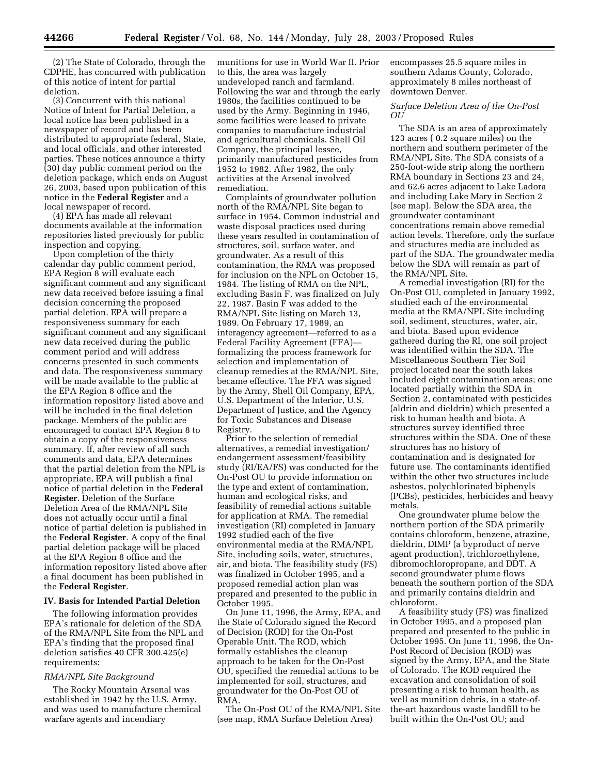(2) The State of Colorado, through the CDPHE, has concurred with publication of this notice of intent for partial deletion.

(3) Concurrent with this national Notice of Intent for Partial Deletion, a local notice has been published in a newspaper of record and has been distributed to appropriate federal, State, and local officials, and other interested parties. These notices announce a thirty (30) day public comment period on the deletion package, which ends on August 26, 2003, based upon publication of this notice in the **Federal Register** and a local newspaper of record.

(4) EPA has made all relevant documents available at the information repositories listed previously for public inspection and copying.

Upon completion of the thirty calendar day public comment period, EPA Region 8 will evaluate each significant comment and any significant new data received before issuing a final decision concerning the proposed partial deletion. EPA will prepare a responsiveness summary for each significant comment and any significant new data received during the public comment period and will address concerns presented in such comments and data. The responsiveness summary will be made available to the public at the EPA Region 8 office and the information repository listed above and will be included in the final deletion package. Members of the public are encouraged to contact EPA Region 8 to obtain a copy of the responsiveness summary. If, after review of all such comments and data, EPA determines that the partial deletion from the NPL is appropriate, EPA will publish a final notice of partial deletion in the **Federal Register**. Deletion of the Surface Deletion Area of the RMA/NPL Site does not actually occur until a final notice of partial deletion is published in the **Federal Register**. A copy of the final partial deletion package will be placed at the EPA Region 8 office and the information repository listed above after a final document has been published in the **Federal Register**.

# **IV. Basis for Intended Partial Deletion**

The following information provides EPA's rationale for deletion of the SDA of the RMA/NPL Site from the NPL and EPA's finding that the proposed final deletion satisfies 40 CFR 300.425(e) requirements:

## *RMA/NPL Site Background*

The Rocky Mountain Arsenal was established in 1942 by the U.S. Army, and was used to manufacture chemical warfare agents and incendiary

munitions for use in World War II. Prior to this, the area was largely undeveloped ranch and farmland. Following the war and through the early 1980s, the facilities continued to be used by the Army. Beginning in 1946, some facilities were leased to private companies to manufacture industrial and agricultural chemicals. Shell Oil Company, the principal lessee, primarily manufactured pesticides from 1952 to 1982. After 1982, the only activities at the Arsenal involved remediation.

Complaints of groundwater pollution north of the RMA/NPL Site began to surface in 1954. Common industrial and waste disposal practices used during these years resulted in contamination of structures, soil, surface water, and groundwater. As a result of this contamination, the RMA was proposed for inclusion on the NPL on October 15, 1984. The listing of RMA on the NPL, excluding Basin F, was finalized on July 22, 1987. Basin F was added to the RMA/NPL Site listing on March 13, 1989. On February 17, 1989, an interagency agreement—referred to as a Federal Facility Agreement (FFA) formalizing the process framework for selection and implementation of cleanup remedies at the RMA/NPL Site, became effective. The FFA was signed by the Army, Shell Oil Company, EPA, U.S. Department of the Interior, U.S. Department of Justice, and the Agency for Toxic Substances and Disease Registry.

Prior to the selection of remedial alternatives, a remedial investigation/ endangerment assessment/feasibility study (RI/EA/FS) was conducted for the On-Post OU to provide information on the type and extent of contamination, human and ecological risks, and feasibility of remedial actions suitable for application at RMA. The remedial investigation (RI) completed in January 1992 studied each of the five environmental media at the RMA/NPL Site, including soils, water, structures, air, and biota. The feasibility study (FS) was finalized in October 1995, and a proposed remedial action plan was prepared and presented to the public in October 1995.

On June 11, 1996, the Army, EPA, and the State of Colorado signed the Record of Decision (ROD) for the On-Post Operable Unit. The ROD, which formally establishes the cleanup approach to be taken for the On-Post OU, specified the remedial actions to be implemented for soil, structures, and groundwater for the On-Post OU of RMA.

The On-Post OU of the RMA/NPL Site (see map, RMA Surface Deletion Area)

encompasses 25.5 square miles in southern Adams County, Colorado, approximately 8 miles northeast of downtown Denver.

# *Surface Deletion Area of the On-Post OU*

The SDA is an area of approximately 123 acres ( 0.2 square miles) on the northern and southern perimeter of the RMA/NPL Site. The SDA consists of a 250-foot-wide strip along the northern RMA boundary in Sections 23 and 24, and 62.6 acres adjacent to Lake Ladora and including Lake Mary in Section 2 (see map). Below the SDA area, the groundwater contaminant concentrations remain above remedial action levels. Therefore, only the surface and structures media are included as part of the SDA. The groundwater media below the SDA will remain as part of the RMA/NPL Site.

A remedial investigation (RI) for the On-Post OU, completed in January 1992, studied each of the environmental media at the RMA/NPL Site including soil, sediment, structures, water, air, and biota. Based upon evidence gathered during the RI, one soil project was identified within the SDA. The Miscellaneous Southern Tier Soil project located near the south lakes included eight contamination areas; one located partially within the SDA in Section 2, contaminated with pesticides (aldrin and dieldrin) which presented a risk to human health and biota. A structures survey identified three structures within the SDA. One of these structures has no history of contamination and is designated for future use. The contaminants identified within the other two structures include asbestos, polychlorinated biphenyls (PCBs), pesticides, herbicides and heavy metals.

One groundwater plume below the northern portion of the SDA primarily contains chloroform, benzene, atrazine, dieldrin, DIMP (a byproduct of nerve agent production), trichloroethylene, dibromochloropropane, and DDT. A second groundwater plume flows beneath the southern portion of the SDA and primarily contains dieldrin and chloroform.

A feasibility study (FS) was finalized in October 1995, and a proposed plan prepared and presented to the public in October 1995. On June 11, 1996, the On-Post Record of Decision (ROD) was signed by the Army, EPA, and the State of Colorado. The ROD required the excavation and consolidation of soil presenting a risk to human health, as well as munition debris, in a state-ofthe-art hazardous waste landfill to be built within the On-Post OU; and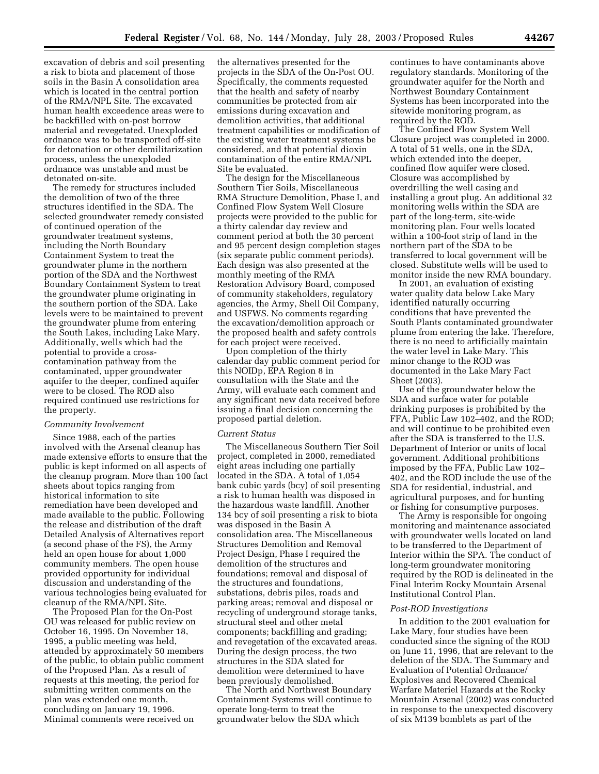excavation of debris and soil presenting a risk to biota and placement of those soils in the Basin A consolidation area which is located in the central portion of the RMA/NPL Site. The excavated human health exceedence areas were to be backfilled with on-post borrow material and revegetated. Unexploded ordnance was to be transported off-site for detonation or other demilitarization process, unless the unexploded ordnance was unstable and must be detonated on-site.

The remedy for structures included the demolition of two of the three structures identified in the SDA. The selected groundwater remedy consisted of continued operation of the groundwater treatment systems, including the North Boundary Containment System to treat the groundwater plume in the northern portion of the SDA and the Northwest Boundary Containment System to treat the groundwater plume originating in the southern portion of the SDA. Lake levels were to be maintained to prevent the groundwater plume from entering the South Lakes, including Lake Mary. Additionally, wells which had the potential to provide a crosscontamination pathway from the contaminated, upper groundwater aquifer to the deeper, confined aquifer were to be closed. The ROD also required continued use restrictions for the property.

#### *Community Involvement*

Since 1988, each of the parties involved with the Arsenal cleanup has made extensive efforts to ensure that the public is kept informed on all aspects of the cleanup program. More than 100 fact sheets about topics ranging from historical information to site remediation have been developed and made available to the public. Following the release and distribution of the draft Detailed Analysis of Alternatives report (a second phase of the FS), the Army held an open house for about 1,000 community members. The open house provided opportunity for individual discussion and understanding of the various technologies being evaluated for cleanup of the RMA/NPL Site.

The Proposed Plan for the On-Post OU was released for public review on October 16, 1995. On November 18, 1995, a public meeting was held, attended by approximately 50 members of the public, to obtain public comment of the Proposed Plan. As a result of requests at this meeting, the period for submitting written comments on the plan was extended one month, concluding on January 19, 1996. Minimal comments were received on

the alternatives presented for the projects in the SDA of the On-Post OU. Specifically, the comments requested that the health and safety of nearby communities be protected from air emissions during excavation and demolition activities, that additional treatment capabilities or modification of the existing water treatment systems be considered, and that potential dioxin contamination of the entire RMA/NPL Site be evaluated.

The design for the Miscellaneous Southern Tier Soils, Miscellaneous RMA Structure Demolition, Phase I, and Confined Flow System Well Closure projects were provided to the public for a thirty calendar day review and comment period at both the 30 percent and 95 percent design completion stages (six separate public comment periods). Each design was also presented at the monthly meeting of the RMA Restoration Advisory Board, composed of community stakeholders, regulatory agencies, the Army, Shell Oil Company, and USFWS. No comments regarding the excavation/demolition approach or the proposed health and safety controls for each project were received.

Upon completion of the thirty calendar day public comment period for this NOIDp, EPA Region 8 in consultation with the State and the Army, will evaluate each comment and any significant new data received before issuing a final decision concerning the proposed partial deletion.

## *Current Status*

The Miscellaneous Southern Tier Soil project, completed in 2000, remediated eight areas including one partially located in the SDA. A total of 1,054 bank cubic yards (bcy) of soil presenting a risk to human health was disposed in the hazardous waste landfill. Another 134 bcy of soil presenting a risk to biota was disposed in the Basin A consolidation area. The Miscellaneous Structures Demolition and Removal Project Design, Phase I required the demolition of the structures and foundations; removal and disposal of the structures and foundations, substations, debris piles, roads and parking areas; removal and disposal or recycling of underground storage tanks, structural steel and other metal components; backfilling and grading; and revegetation of the excavated areas. During the design process, the two structures in the SDA slated for demolition were determined to have been previously demolished.

The North and Northwest Boundary Containment Systems will continue to operate long-term to treat the groundwater below the SDA which

continues to have contaminants above regulatory standards. Monitoring of the groundwater aquifer for the North and Northwest Boundary Containment Systems has been incorporated into the sitewide monitoring program, as required by the ROD.

The Confined Flow System Well Closure project was completed in 2000. A total of 51 wells, one in the SDA, which extended into the deeper, confined flow aquifer were closed. Closure was accomplished by overdrilling the well casing and installing a grout plug. An additional 32 monitoring wells within the SDA are part of the long-term, site-wide monitoring plan. Four wells located within a 100-foot strip of land in the northern part of the SDA to be transferred to local government will be closed. Substitute wells will be used to monitor inside the new RMA boundary.

In 2001, an evaluation of existing water quality data below Lake Mary identified naturally occurring conditions that have prevented the South Plants contaminated groundwater plume from entering the lake. Therefore, there is no need to artificially maintain the water level in Lake Mary. This minor change to the ROD was documented in the Lake Mary Fact Sheet (2003).

Use of the groundwater below the SDA and surface water for potable drinking purposes is prohibited by the FFA, Public Law 102–402, and the ROD; and will continue to be prohibited even after the SDA is transferred to the U.S. Department of Interior or units of local government. Additional prohibitions imposed by the FFA, Public Law 102– 402, and the ROD include the use of the SDA for residential, industrial, and agricultural purposes, and for hunting or fishing for consumptive purposes.

The Army is responsible for ongoing monitoring and maintenance associated with groundwater wells located on land to be transferred to the Department of Interior within the SPA. The conduct of long-term groundwater monitoring required by the ROD is delineated in the Final Interim Rocky Mountain Arsenal Institutional Control Plan.

### *Post-ROD Investigations*

In addition to the 2001 evaluation for Lake Mary, four studies have been conducted since the signing of the ROD on June 11, 1996, that are relevant to the deletion of the SDA. The Summary and Evaluation of Potential Ordnance/ Explosives and Recovered Chemical Warfare Materiel Hazards at the Rocky Mountain Arsenal (2002) was conducted in response to the unexpected discovery of six M139 bomblets as part of the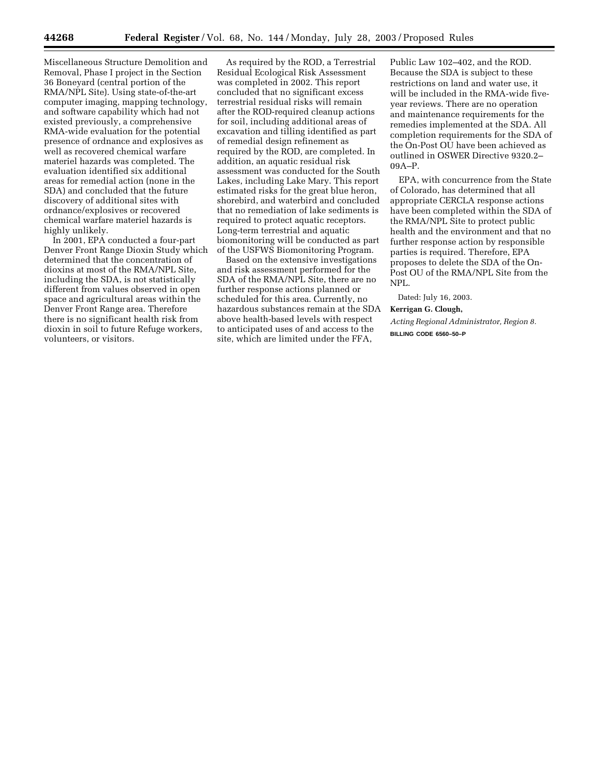Miscellaneous Structure Demolition and Removal, Phase I project in the Section 36 Boneyard (central portion of the RMA/NPL Site). Using state-of-the-art computer imaging, mapping technology, and software capability which had not existed previously, a comprehensive RMA-wide evaluation for the potential presence of ordnance and explosives as well as recovered chemical warfare materiel hazards was completed. The evaluation identified six additional areas for remedial action (none in the SDA) and concluded that the future discovery of additional sites with ordnance/explosives or recovered chemical warfare materiel hazards is highly unlikely.

In 2001, EPA conducted a four-part Denver Front Range Dioxin Study which determined that the concentration of dioxins at most of the RMA/NPL Site, including the SDA, is not statistically different from values observed in open space and agricultural areas within the Denver Front Range area. Therefore there is no significant health risk from dioxin in soil to future Refuge workers, volunteers, or visitors.

As required by the ROD, a Terrestrial Residual Ecological Risk Assessment was completed in 2002. This report concluded that no significant excess terrestrial residual risks will remain after the ROD-required cleanup actions for soil, including additional areas of excavation and tilling identified as part of remedial design refinement as required by the ROD, are completed. In addition, an aquatic residual risk assessment was conducted for the South Lakes, including Lake Mary. This report estimated risks for the great blue heron, shorebird, and waterbird and concluded that no remediation of lake sediments is required to protect aquatic receptors. Long-term terrestrial and aquatic biomonitoring will be conducted as part of the USFWS Biomonitoring Program.

Based on the extensive investigations and risk assessment performed for the SDA of the RMA/NPL Site, there are no further response actions planned or scheduled for this area. Currently, no hazardous substances remain at the SDA above health-based levels with respect to anticipated uses of and access to the site, which are limited under the FFA,

Public Law 102–402, and the ROD. Because the SDA is subject to these restrictions on land and water use, it will be included in the RMA-wide fiveyear reviews. There are no operation and maintenance requirements for the remedies implemented at the SDA. All completion requirements for the SDA of the On-Post OU have been achieved as outlined in OSWER Directive 9320.2– 09A–P.

EPA, with concurrence from the State of Colorado, has determined that all appropriate CERCLA response actions have been completed within the SDA of the RMA/NPL Site to protect public health and the environment and that no further response action by responsible parties is required. Therefore, EPA proposes to delete the SDA of the On-Post OU of the RMA/NPL Site from the NPL.

Dated: July 16, 2003.

**Kerrigan G. Clough,** 

*Acting Regional Administrator, Region 8.* **BILLING CODE 6560–50–P**